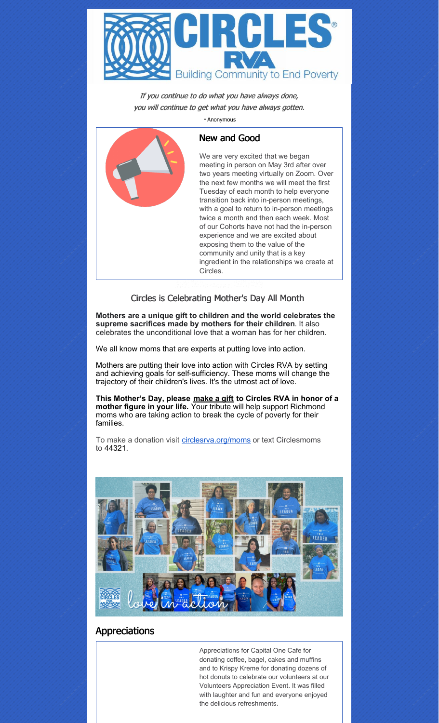

If you continue to do what you have always done, you will continue to get what you have always gotten.

- Anonymous



## New and Good

We are very excited that we began meeting in person on May 3rd after over two years meeting virtually on Zoom. Over the next few months we will meet the first Tuesday of each month to help everyone transition back into in-person meetings, with a goal to return to in-person meetings twice a month and then each week. Most of our Cohorts have not had the in-person experience and we are excited about exposing them to the value of the community and unity that is a key ingredient in the relationships we create at Circles.

#### Circles is Celebrating Mother's Day All Month

**Mothers are a unique gift to children and the world celebrates the supreme sacrifices made by mothers for their children**. It also celebrates the unconditional love that a woman has for her children.

We all know moms that are experts at putting love into action.

Mothers are putting their love into action with Circles RVA by setting and achieving goals for self-sufficiency. These moms will change the trajectory of their children's lives. It's the utmost act of love.

**This Mother's Day, please [make](https://secure.givelively.org/donate/circles-rva-inc/mothers-love-in-action-583ceeb4-ab9d-45df-82ae-d73ecce22ea9) a gift to Circles RVA in honor of a mother figure in your life.** Your tribute will help support Richmond moms who are taking action to break the cycle of poverty for their families.

To make a donation visit [circlesrva.org/moms](https://r20.rs6.net/tn.jsp?f=001dyB3ratwyWTsjArI4cisHmrldXh22HMtj9kCnhzI8M8rSVePnKyqBHs3kfovhXYN02DAZyxrWyg0b0Vm4TPLvtv1S6PXuIr8XD7Q1LRX9gaqGz4Os_Di3MMSbd-lhZp_6oMzgse8EevUXz3xQEgR6g==&c=wnzulcV03Up5oiKiMhb4AeS7S2IuvhOs-afX6uMmi8qiXjevjc6Vxw==&ch=Y8DTtvcnMIFr3AUq5V-yMLzELkMtWYi9EHp1AQGdTKl5M3M8CfMfyg==) or text Circlesmoms to 44321.



## **Appreciations**

Appreciations for Capital One Cafe for donating coffee, bagel, cakes and muffins and to Krispy Kreme for donating dozens of hot donuts to celebrate our volunteers at our Volunteers Appreciation Event. It was filled with laughter and fun and everyone enjoyed the delicious refreshments.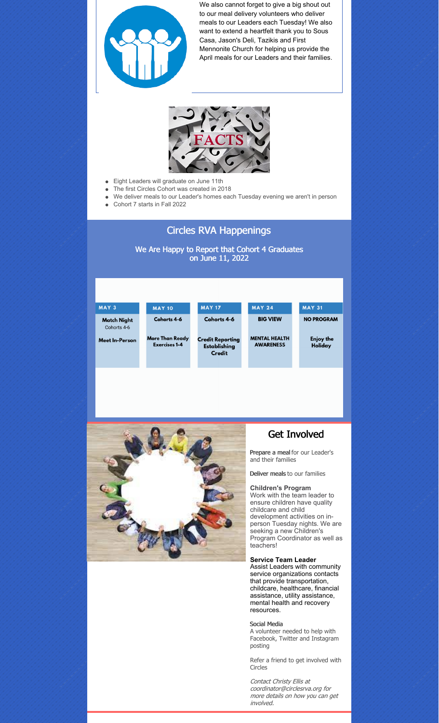

We also cannot forget to give a big shout out to our meal delivery volunteers who deliver meals to our Leaders each Tuesday! We also want to extend a heartfelt thank you to Sous Casa, Jason's Deli, Tazikis and First Mennonite Church for helping us provide the April meals for our Leaders and their families.



- Eight Leaders will graduate on June 11th  $\bullet$
- The first Circles Cohort was created in 2018  $\bullet$
- We deliver meals to our Leader's homes each Tuesday evening we aren't in person  $\bullet$
- Cohort 7 starts in Fall 2022

# Circles RVA Happenings

We Are Happy to Report that Cohort 4 Graduates on June 11, 2022





## Get Involved

Prepare a meal for our Leader's and their families

Deliver meals to our families

#### **Children's Program**

Work with the team leader to ensure children have quality childcare and child development activities on inperson Tuesday nights. We are seeking a new Children's Program Coordinator as well as teachers!

**Service Team Leader** Assist Leaders with community

service organizations contacts that provide transportation, childcare, healthcare, financial assistance, utility assistance, mental health and recovery resources.

#### Social Media

A volunteer needed to help with Facebook, Twitter and Instagram posting

Refer a friend to get involved with Circles

Contact Christy Ellis at coordinator@circlesrva.org for more details on how you can get involved.